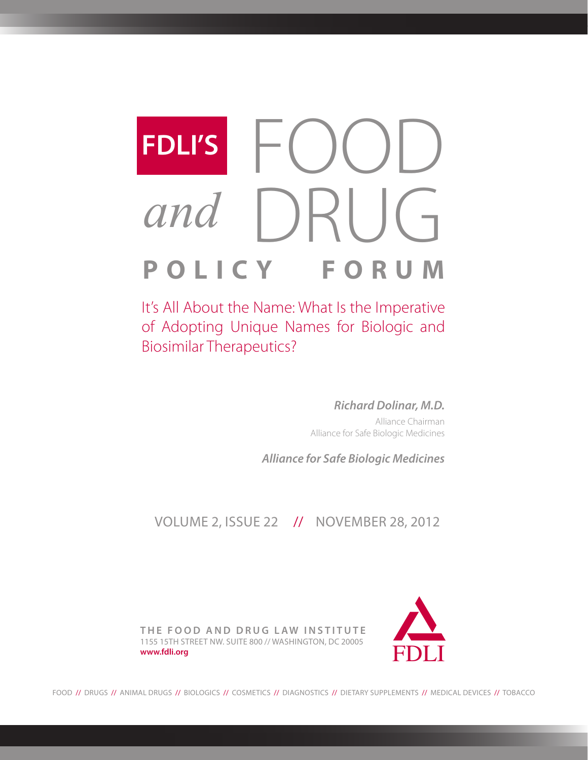# FDLI'S FOOD<br>and DRUG **POLICY FORUM** *and* **FDLI'S**

It's All About the Name: What Is the Imperative of Adopting Unique Names for Biologic and Biosimilar Therapeutics?

> *Richard Dolinar, M.D.* Alliance Chairman Alliance for Safe Biologic Medicines

*Alliance for Safe Biologic Medicines*

VOLUME 2, ISSUE 22 // NOVEMBER 28, 2012

**THE FOOD AND DRUG LAW INSTITUTE** 1155 15TH STREET NW. SUITE 800 // WASHINGTON, DC 20005 **www.fdli.org**



FOOD // DRUGS // ANIMAL DRUGS // BIOLOGICS // COSMETICS // DIAGNOSTICS // DIETARY SUPPLEMENTS // MEDICAL DEVICES // TOBACCO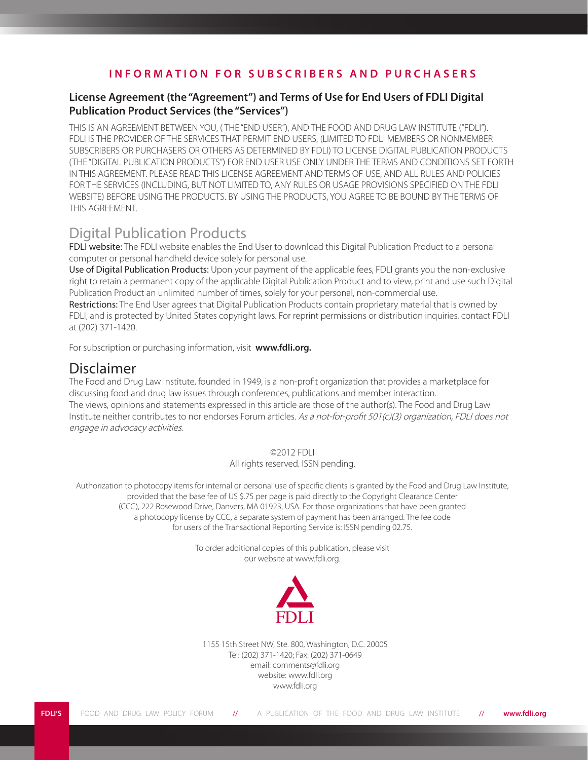# **I N F O R M A T I O N F O R S U B S C R I B E R S A N D P U R C H A S E R S**

### **License Agreement (the "Agreement") and Terms of Use for End Users of FDLI Digital Publication Product Services (the "Services")**

THIS IS AN AGREEMENT BETWEEN YOU, ( THE "END USER"), AND THE FOOD AND DRUG LAW INSTITUTE ("FDLI"). FDLI IS THE PROVIDER OF THE SERVICES THAT PERMIT END USERS, (LIMITED TO FDLI MEMBERS OR NONMEMBER SUBSCRIBERS OR PURCHASERS OR OTHERS AS DETERMINED BY FDLI) TO LICENSE DIGITAL PUBLICATION PRODUCTS (THE "DIGITAL PUBLICATION PRODUCTS") FOR END USER USE ONLY UNDER THE TERMS AND CONDITIONS SET FORTH IN THIS AGREEMENT. PLEASE READ THIS LICENSE AGREEMENT AND TERMS OF USE, AND ALL RULES AND POLICIES FOR THE SERVICES (INCLUDING, BUT NOT LIMITED TO, ANY RULES OR USAGE PROVISIONS SPECIFIED ON THE FDLI WEBSITE) BEFORE USING THE PRODUCTS. BY USING THE PRODUCTS, YOU AGREE TO BE BOUND BY THE TERMS OF THIS AGREEMENT.

# Digital Publication Products

FDLI website: The FDLI website enables the End User to download this Digital Publication Product to a personal computer or personal handheld device solely for personal use.

Use of Digital Publication Products: Upon your payment of the applicable fees, FDLI grants you the non-exclusive right to retain a permanent copy of the applicable Digital Publication Product and to view, print and use such Digital Publication Product an unlimited number of times, solely for your personal, non-commercial use.

Restrictions: The End User agrees that Digital Publication Products contain proprietary material that is owned by FDLI, and is protected by United States copyright laws. For reprint permissions or distribution inquiries, contact FDLI at (202) 371-1420.

For subscription or purchasing information, visit **www.fdli.org.**

# Disclaimer

The Food and Drug Law Institute, founded in 1949, is a non-profit organization that provides a marketplace for discussing food and drug law issues through conferences, publications and member interaction. The views, opinions and statements expressed in this article are those of the author(s). The Food and Drug Law Institute neither contributes to nor endorses Forum articles. As a not-for-profit 501(c)(3) organization, FDLI does not engage in advocacy activities.

©2012 FDLI

All rights reserved. ISSN pending.

Authorization to photocopy items for internal or personal use of specific clients is granted by the Food and Drug Law Institute, provided that the base fee of US \$.75 per page is paid directly to the Copyright Clearance Center (CCC), 222 Rosewood Drive, Danvers, MA 01923, USA. For those organizations that have been granted a photocopy license by CCC, a separate system of payment has been arranged. The fee code for users of the Transactional Reporting Service is: ISSN pending 02.75.

> To order additional copies of this publication, please visit our website at www.fdli.org.



1155 15th Street NW, Ste. 800, Washington, D.C. 20005 Tel: (202) 371-1420; Fax: (202) 371-0649 email: comments@fdli.org website: www.fdli.org www.fdli.org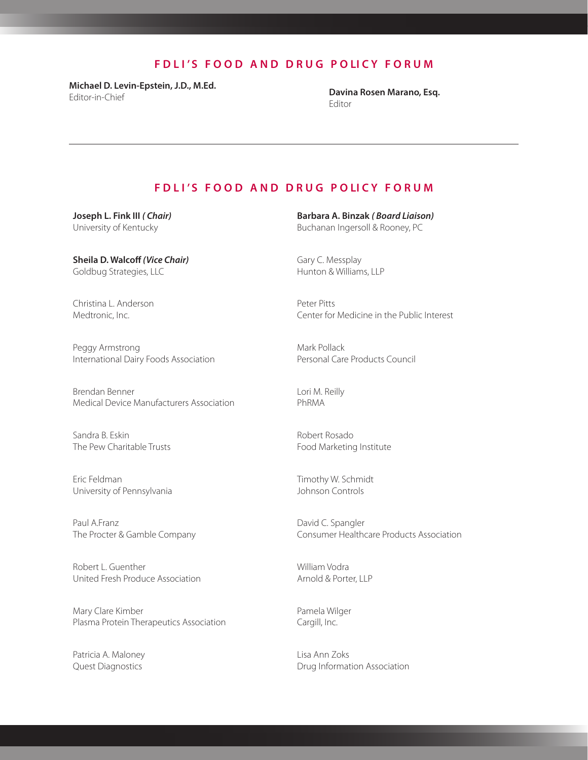# **F D L I ' S F O O D A N D D R U G P O LI C Y F O R U M**

**Michael D. Levin-Epstein, J.D., M.Ed.**  Editor-in-Chief **Davina Rosen Marano, Esq.**

Editor

#### **F D L I ' S F O O D A N D D R U G P O LI C Y F O R U M**

**Joseph L. Fink III** *( Chair)* University of Kentucky

**Sheila D. Walcoff** *(Vice Chair)* Goldbug Strategies, LLC

Christina L. Anderson Medtronic, Inc.

Peggy Armstrong International Dairy Foods Association

Brendan Benner Medical Device Manufacturers Association

Sandra B. Eskin The Pew Charitable Trusts

Eric Feldman University of Pennsylvania

Paul A.Franz The Procter & Gamble Company

Robert L. Guenther United Fresh Produce Association

Mary Clare Kimber Plasma Protein Therapeutics Association

Patricia A. Maloney Quest Diagnostics

**Barbara A. Binzak** *( Board Liaison)* Buchanan Ingersoll & Rooney, PC

Gary C. Messplay Hunton & Williams, LLP

Peter Pitts Center for Medicine in the Public Interest

Mark Pollack Personal Care Products Council

Lori M. Reilly PhRMA

Robert Rosado Food Marketing Institute

Timothy W. Schmidt Johnson Controls

David C. Spangler Consumer Healthcare Products Association

William Vodra Arnold & Porter, LLP

Pamela Wilger Cargill, Inc.

Lisa Ann Zoks Drug Information Association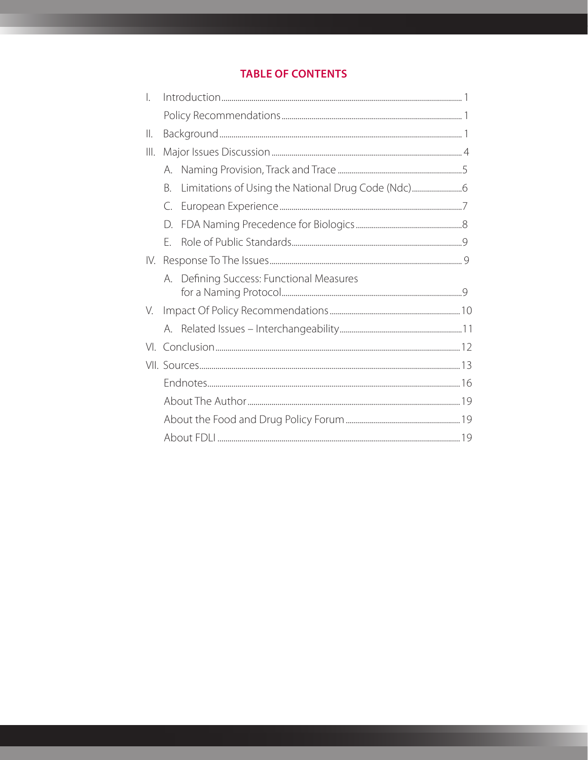# **TABLE OF CONTENTS**

| $\overline{a}$ |    |                                          |  |  |
|----------------|----|------------------------------------------|--|--|
|                |    |                                          |  |  |
| 11.            |    |                                          |  |  |
| Ш.             |    |                                          |  |  |
|                | А. |                                          |  |  |
|                | B. |                                          |  |  |
|                | C. |                                          |  |  |
|                | D. |                                          |  |  |
|                | F. |                                          |  |  |
| IV.            |    |                                          |  |  |
|                |    | A. Defining Success: Functional Measures |  |  |
| V.             |    |                                          |  |  |
|                |    |                                          |  |  |
|                |    |                                          |  |  |
|                |    |                                          |  |  |
|                |    |                                          |  |  |
|                |    |                                          |  |  |
|                |    |                                          |  |  |
|                |    |                                          |  |  |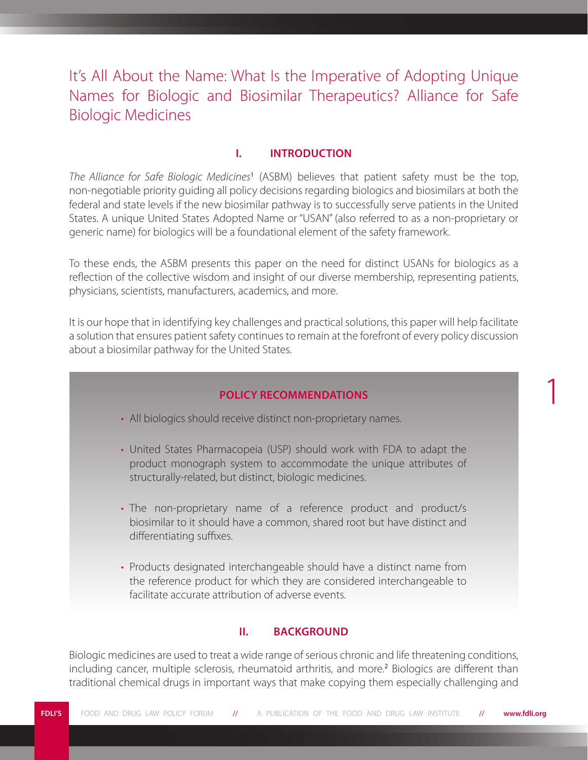It's All About the Name: What Is the Imperative of Adopting Unique Names for Biologic and Biosimilar Therapeutics? Alliance for Safe Biologic Medicines

# **I. INTRODUCTION**

*The Alliance for Safe Biologic Medicines*<sup>1</sup> (ASBM) believes that patient safety must be the top, non-negotiable priority guiding all policy decisions regarding biologics and biosimilars at both the federal and state levels if the new biosimilar pathway is to successfully serve patients in the United States. A unique United States Adopted Name or "USAN" (also referred to as a non-proprietary or generic name) for biologics will be a foundational element of the safety framework.

To these ends, the ASBM presents this paper on the need for distinct USANs for biologics as a reflection of the collective wisdom and insight of our diverse membership, representing patients, physicians, scientists, manufacturers, academics, and more.

It is our hope that in identifying key challenges and practical solutions, this paper will help facilitate a solution that ensures patient safety continues to remain at the forefront of every policy discussion about a biosimilar pathway for the United States.

## **POLICY RECOMMENDATIONS**

1

- All biologics should receive distinct non-proprietary names.
- United States Pharmacopeia (USP) should work with FDA to adapt the product monograph system to accommodate the unique attributes of structurally-related, but distinct, biologic medicines.
- The non-proprietary name of a reference product and product/s biosimilar to it should have a common, shared root but have distinct and differentiating suffixes.
- Products designated interchangeable should have a distinct name from the reference product for which they are considered interchangeable to facilitate accurate attribution of adverse events.

### **II. BACKGROUND**

Biologic medicines are used to treat a wide range of serious chronic and life threatening conditions, including cancer, multiple sclerosis, rheumatoid arthritis, and more.<sup>2</sup> Biologics are different than traditional chemical drugs in important ways that make copying them especially challenging and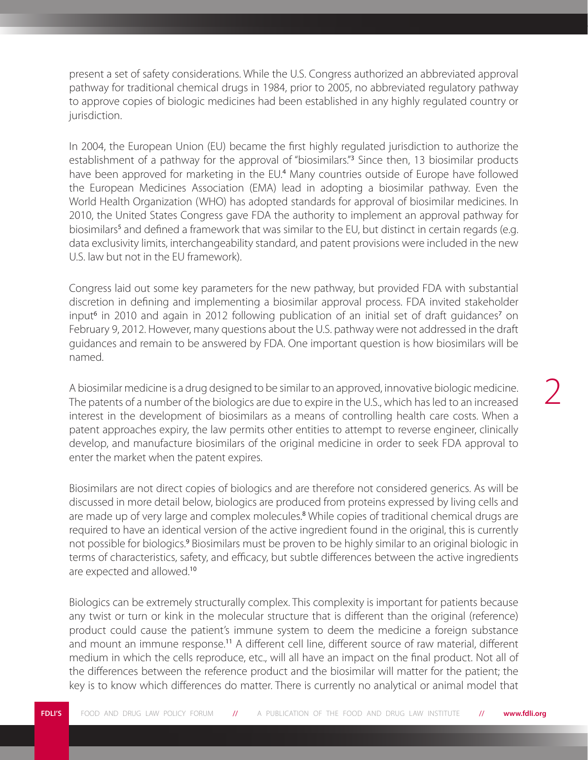present a set of safety considerations. While the U.S. Congress authorized an abbreviated approval pathway for traditional chemical drugs in 1984, prior to 2005, no abbreviated regulatory pathway to approve copies of biologic medicines had been established in any highly regulated country or jurisdiction.

In 2004, the European Union (EU) became the first highly regulated jurisdiction to authorize the establishment of a pathway for the approval of "biosimilars."<sup>3</sup> Since then, 13 biosimilar products have been approved for marketing in the EU.<sup>4</sup> Many countries outside of Europe have followed the European Medicines Association (EMA) lead in adopting a biosimilar pathway. Even the World Health Organization (WHO) has adopted standards for approval of biosimilar medicines. In 2010, the United States Congress gave FDA the authority to implement an approval pathway for biosimilars<sup>5</sup> and defined a framework that was similar to the EU, but distinct in certain regards (e.g. data exclusivity limits, interchangeability standard, and patent provisions were included in the new U.S. law but not in the EU framework).

Congress laid out some key parameters for the new pathway, but provided FDA with substantial discretion in defining and implementing a biosimilar approval process. FDA invited stakeholder input<sup>6</sup> in 2010 and again in 2012 following publication of an initial set of draft guidances<sup>7</sup> on February 9, 2012. However, many questions about the U.S. pathway were not addressed in the draft guidances and remain to be answered by FDA. One important question is how biosimilars will be named.

A biosimilar medicine is a drug designed to be similar to an approved, innovative biologic medicine. The patents of a number of the biologics are due to expire in the U.S., which has led to an increased interest in the development of biosimilars as a means of controlling health care costs. When a patent approaches expiry, the law permits other entities to attempt to reverse engineer, clinically develop, and manufacture biosimilars of the original medicine in order to seek FDA approval to enter the market when the patent expires.

Biosimilars are not direct copies of biologics and are therefore not considered generics. As will be discussed in more detail below, biologics are produced from proteins expressed by living cells and are made up of very large and complex molecules.<sup>8</sup> While copies of traditional chemical drugs are required to have an identical version of the active ingredient found in the original, this is currently not possible for biologics.<sup>9</sup> Biosimilars must be proven to be highly similar to an original biologic in terms of characteristics, safety, and efficacy, but subtle differences between the active ingredients are expected and allowed.<sup>10</sup>

Biologics can be extremely structurally complex. This complexity is important for patients because any twist or turn or kink in the molecular structure that is different than the original (reference) product could cause the patient's immune system to deem the medicine a foreign substance and mount an immune response.<sup>11</sup> A different cell line, different source of raw material, different medium in which the cells reproduce, etc., will all have an impact on the final product. Not all of the differences between the reference product and the biosimilar will matter for the patient; the key is to know which differences do matter. There is currently no analytical or animal model that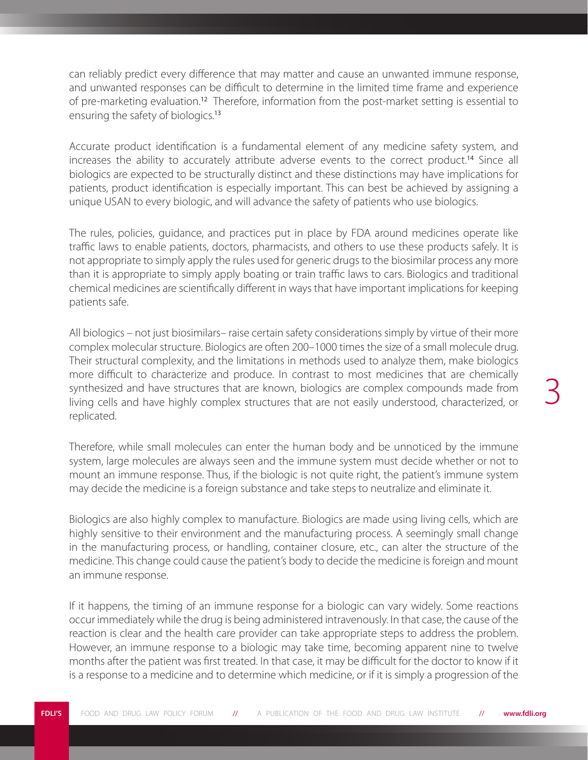can reliably predict every difference that may matter and cause an unwanted immune response, and unwanted responses can be difficult to determine in the limited time frame and experience of pre-marketing evaluation.<sup>12</sup> Therefore, information from the post-market setting is essential to ensuring the safety of biologics.<sup>13</sup>

Accurate product identification is a fundamental element of any medicine safety system, and increases the ability to accurately attribute adverse events to the correct product.<sup>14</sup> Since all biologics are expected to be structurally distinct and these distinctions may have implications for patients, product identification is especially important. This can best be achieved by assigning a unique USAN to every biologic, and will advance the safety of patients who use biologics.

The rules, policies, guidance, and practices put in place by FDA around medicines operate like traffic laws to enable patients, doctors, pharmacists, and others to use these products safely. It is not appropriate to simply apply the rules used for generic drugs to the biosimilar process any more than it is appropriate to simply apply boating or train traffic laws to cars. Biologics and traditional chemical medicines are scientifically different in ways that have important implications for keeping patients safe.

All biologics – not just biosimilars– raise certain safety considerations simply by virtue of their more complex molecular structure. Biologics are often 200–1000 times the size of a small molecule drug. Their structural complexity, and the limitations in methods used to analyze them, make biologics more difficult to characterize and produce. In contrast to most medicines that are chemically synthesized and have structures that are known, biologics are complex compounds made from living cells and have highly complex structures that are not easily understood, characterized, or replicated.

Therefore, while small molecules can enter the human body and be unnoticed by the immune system, large molecules are always seen and the immune system must decide whether or not to mount an immune response. Thus, if the biologic is not quite right, the patient's immune system may decide the medicine is a foreign substance and take steps to neutralize and eliminate it.

Biologics are also highly complex to manufacture. Biologics are made using living cells, which are highly sensitive to their environment and the manufacturing process. A seemingly small change in the manufacturing process, or handling, container closure, etc., can alter the structure of the medicine. This change could cause the patient's body to decide the medicine is foreign and mount an immune response.

If it happens, the timing of an immune response for a biologic can vary widely. Some reactions occur immediately while the drug is being administered intravenously. In that case, the cause of the reaction is clear and the health care provider can take appropriate steps to address the problem. However, an immune response to a biologic may take time, becoming apparent nine to twelve months after the patient was first treated. In that case, it may be difficult for the doctor to know if it is a response to a medicine and to determine which medicine, or if it is simply a progression of the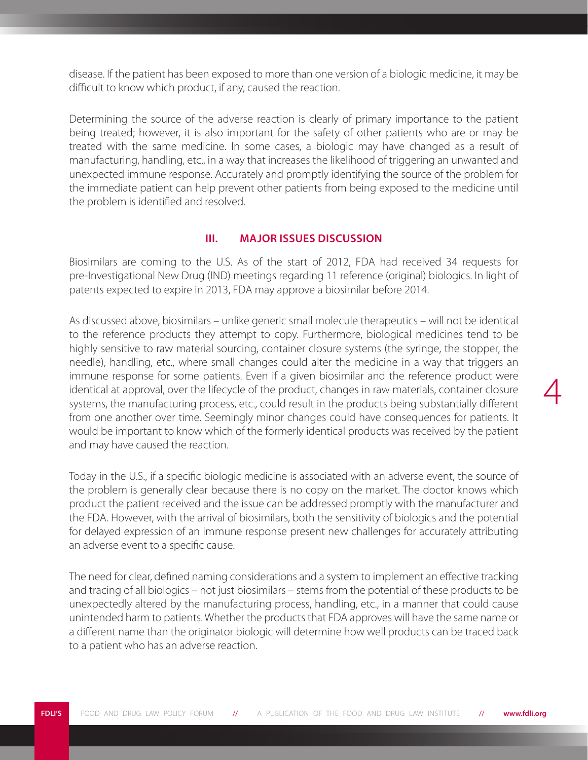disease. If the patient has been exposed to more than one version of a biologic medicine, it may be difficult to know which product, if any, caused the reaction.

Determining the source of the adverse reaction is clearly of primary importance to the patient being treated; however, it is also important for the safety of other patients who are or may be treated with the same medicine. In some cases, a biologic may have changed as a result of manufacturing, handling, etc., in a way that increases the likelihood of triggering an unwanted and unexpected immune response. Accurately and promptly identifying the source of the problem for the immediate patient can help prevent other patients from being exposed to the medicine until the problem is identified and resolved.

## **III. MAJOR ISSUES DISCUSSION**

Biosimilars are coming to the U.S. As of the start of 2012, FDA had received 34 requests for pre-Investigational New Drug (IND) meetings regarding 11 reference (original) biologics. In light of patents expected to expire in 2013, FDA may approve a biosimilar before 2014.

As discussed above, biosimilars – unlike generic small molecule therapeutics – will not be identical to the reference products they attempt to copy. Furthermore, biological medicines tend to be highly sensitive to raw material sourcing, container closure systems (the syringe, the stopper, the needle), handling, etc., where small changes could alter the medicine in a way that triggers an immune response for some patients. Even if a given biosimilar and the reference product were identical at approval, over the lifecycle of the product, changes in raw materials, container closure systems, the manufacturing process, etc., could result in the products being substantially different from one another over time. Seemingly minor changes could have consequences for patients. It would be important to know which of the formerly identical products was received by the patient and may have caused the reaction.

4

Today in the U.S., if a specific biologic medicine is associated with an adverse event, the source of the problem is generally clear because there is no copy on the market. The doctor knows which product the patient received and the issue can be addressed promptly with the manufacturer and the FDA. However, with the arrival of biosimilars, both the sensitivity of biologics and the potential for delayed expression of an immune response present new challenges for accurately attributing an adverse event to a specific cause.

The need for clear, defined naming considerations and a system to implement an effective tracking and tracing of all biologics – not just biosimilars – stems from the potential of these products to be unexpectedly altered by the manufacturing process, handling, etc., in a manner that could cause unintended harm to patients. Whether the products that FDA approves will have the same name or a different name than the originator biologic will determine how well products can be traced back to a patient who has an adverse reaction.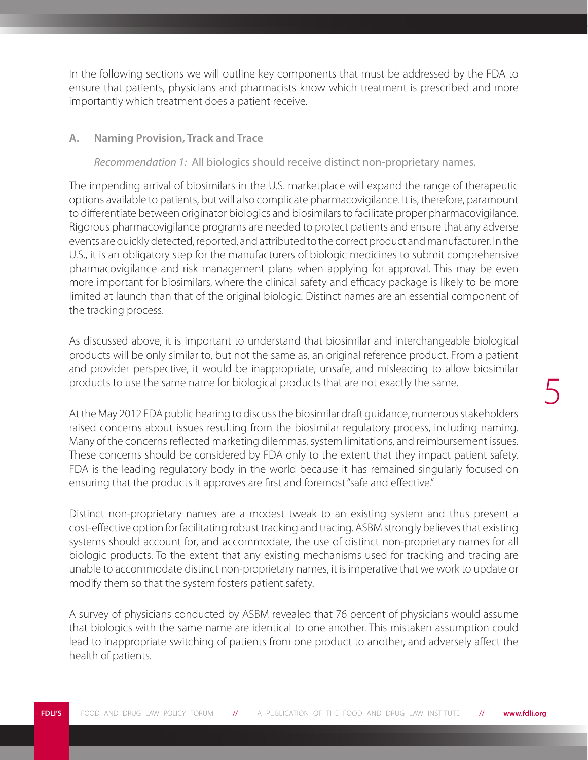5

In the following sections we will outline key components that must be addressed by the FDA to ensure that patients, physicians and pharmacists know which treatment is prescribed and more importantly which treatment does a patient receive.

#### **A. Naming Provision, Track and Trace**

#### *Recommendation 1:* All biologics should receive distinct non-proprietary names.

The impending arrival of biosimilars in the U.S. marketplace will expand the range of therapeutic options available to patients, but will also complicate pharmacovigilance. It is, therefore, paramount to differentiate between originator biologics and biosimilars to facilitate proper pharmacovigilance. Rigorous pharmacovigilance programs are needed to protect patients and ensure that any adverse events are quickly detected, reported, and attributed to the correct product and manufacturer. In the U.S., it is an obligatory step for the manufacturers of biologic medicines to submit comprehensive pharmacovigilance and risk management plans when applying for approval. This may be even more important for biosimilars, where the clinical safety and efficacy package is likely to be more limited at launch than that of the original biologic. Distinct names are an essential component of the tracking process.

As discussed above, it is important to understand that biosimilar and interchangeable biological products will be only similar to, but not the same as, an original reference product. From a patient and provider perspective, it would be inappropriate, unsafe, and misleading to allow biosimilar products to use the same name for biological products that are not exactly the same.

At the May 2012 FDA public hearing to discuss the biosimilar draft guidance, numerous stakeholders raised concerns about issues resulting from the biosimilar regulatory process, including naming. Many of the concerns reflected marketing dilemmas, system limitations, and reimbursement issues. These concerns should be considered by FDA only to the extent that they impact patient safety. FDA is the leading regulatory body in the world because it has remained singularly focused on ensuring that the products it approves are first and foremost "safe and effective."

Distinct non-proprietary names are a modest tweak to an existing system and thus present a cost-effective option for facilitating robust tracking and tracing. ASBM strongly believes that existing systems should account for, and accommodate, the use of distinct non-proprietary names for all biologic products. To the extent that any existing mechanisms used for tracking and tracing are unable to accommodate distinct non-proprietary names, it is imperative that we work to update or modify them so that the system fosters patient safety.

A survey of physicians conducted by ASBM revealed that 76 percent of physicians would assume that biologics with the same name are identical to one another. This mistaken assumption could lead to inappropriate switching of patients from one product to another, and adversely affect the health of patients.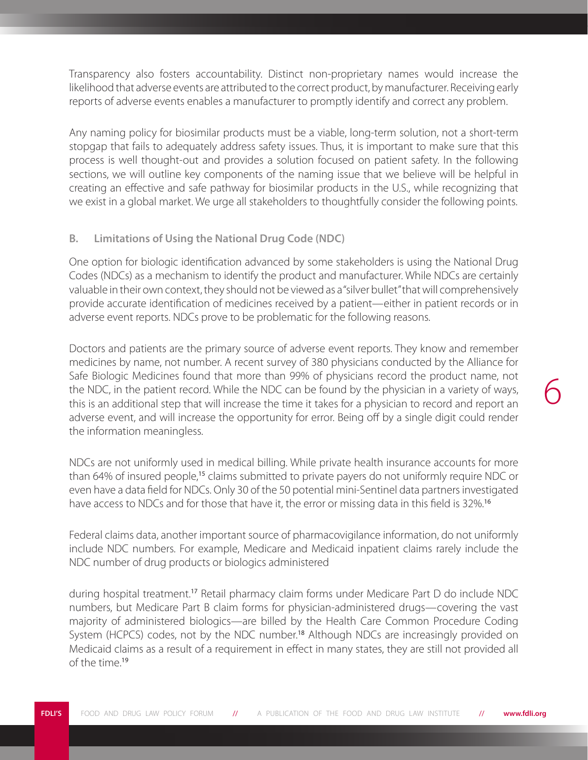Transparency also fosters accountability. Distinct non-proprietary names would increase the likelihood that adverse events are attributed to the correct product, by manufacturer. Receiving early reports of adverse events enables a manufacturer to promptly identify and correct any problem.

Any naming policy for biosimilar products must be a viable, long-term solution, not a short-term stopgap that fails to adequately address safety issues. Thus, it is important to make sure that this process is well thought-out and provides a solution focused on patient safety. In the following sections, we will outline key components of the naming issue that we believe will be helpful in creating an effective and safe pathway for biosimilar products in the U.S., while recognizing that we exist in a global market. We urge all stakeholders to thoughtfully consider the following points.

# **B. Limitations of Using the National Drug Code (NDC)**

One option for biologic identification advanced by some stakeholders is using the National Drug Codes (NDCs) as a mechanism to identify the product and manufacturer. While NDCs are certainly valuable in their own context, they should not be viewed as a "silver bullet" that will comprehensively provide accurate identification of medicines received by a patient—either in patient records or in adverse event reports. NDCs prove to be problematic for the following reasons.

Doctors and patients are the primary source of adverse event reports. They know and remember medicines by name, not number. A recent survey of 380 physicians conducted by the Alliance for Safe Biologic Medicines found that more than 99% of physicians record the product name, not the NDC, in the patient record. While the NDC can be found by the physician in a variety of ways, this is an additional step that will increase the time it takes for a physician to record and report an adverse event, and will increase the opportunity for error. Being off by a single digit could render the information meaningless.

NDCs are not uniformly used in medical billing. While private health insurance accounts for more than 64% of insured people,<sup>15</sup> claims submitted to private payers do not uniformly require NDC or even have a data field for NDCs. Only 30 of the 50 potential mini-Sentinel data partners investigated have access to NDCs and for those that have it, the error or missing data in this field is 32%.<sup>16</sup>

Federal claims data, another important source of pharmacovigilance information, do not uniformly include NDC numbers. For example, Medicare and Medicaid inpatient claims rarely include the NDC number of drug products or biologics administered

during hospital treatment.<sup>17</sup> Retail pharmacy claim forms under Medicare Part D do include NDC numbers, but Medicare Part B claim forms for physician-administered drugs—covering the vast majority of administered biologics—are billed by the Health Care Common Procedure Coding System (HCPCS) codes, not by the NDC number.<sup>18</sup> Although NDCs are increasingly provided on Medicaid claims as a result of a requirement in effect in many states, they are still not provided all of the time.<sup>19</sup>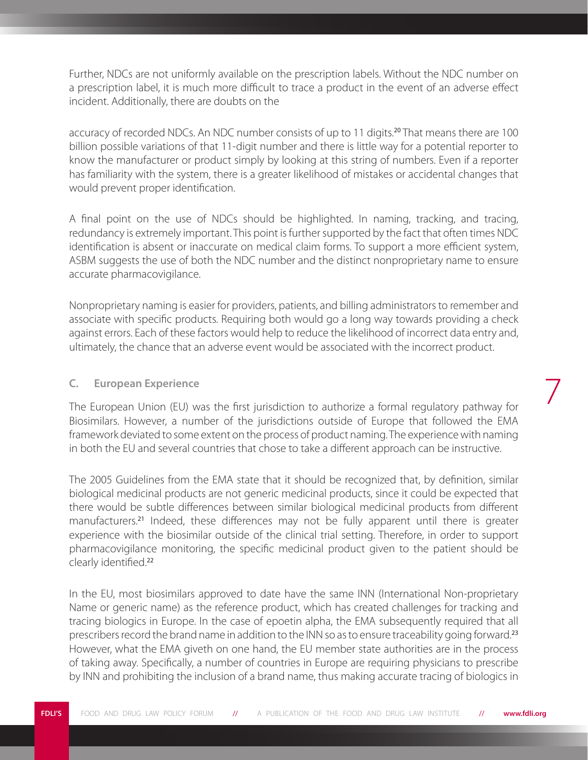Further, NDCs are not uniformly available on the prescription labels. Without the NDC number on a prescription label, it is much more difficult to trace a product in the event of an adverse effect incident. Additionally, there are doubts on the

accuracy of recorded NDCs. An NDC number consists of up to 11 digits.<sup>20</sup> That means there are 100 billion possible variations of that 11-digit number and there is little way for a potential reporter to know the manufacturer or product simply by looking at this string of numbers. Even if a reporter has familiarity with the system, there is a greater likelihood of mistakes or accidental changes that would prevent proper identification.

A final point on the use of NDCs should be highlighted. In naming, tracking, and tracing, redundancy is extremely important. This point is further supported by the fact that often times NDC identification is absent or inaccurate on medical claim forms. To support a more efficient system, ASBM suggests the use of both the NDC number and the distinct nonproprietary name to ensure accurate pharmacovigilance.

Nonproprietary naming is easier for providers, patients, and billing administrators to remember and associate with specific products. Requiring both would go a long way towards providing a check against errors. Each of these factors would help to reduce the likelihood of incorrect data entry and, ultimately, the chance that an adverse event would be associated with the incorrect product.

# **C. European Experience**

The European Union (EU) was the first jurisdiction to authorize a formal regulatory pathway for Biosimilars. However, a number of the jurisdictions outside of Europe that followed the EMA framework deviated to some extent on the process of product naming. The experience with naming in both the EU and several countries that chose to take a different approach can be instructive.

7

The 2005 Guidelines from the EMA state that it should be recognized that, by definition, similar biological medicinal products are not generic medicinal products, since it could be expected that there would be subtle differences between similar biological medicinal products from different manufacturers.<sup>21</sup> Indeed, these differences may not be fully apparent until there is greater experience with the biosimilar outside of the clinical trial setting. Therefore, in order to support pharmacovigilance monitoring, the specific medicinal product given to the patient should be clearly identified.<sup>22</sup>

In the EU, most biosimilars approved to date have the same INN (International Non-proprietary Name or generic name) as the reference product, which has created challenges for tracking and tracing biologics in Europe. In the case of epoetin alpha, the EMA subsequently required that all prescribers record the brand name in addition to the INN so as to ensure traceability going forward.<sup>23</sup> However, what the EMA giveth on one hand, the EU member state authorities are in the process of taking away. Specifically, a number of countries in Europe are requiring physicians to prescribe by INN and prohibiting the inclusion of a brand name, thus making accurate tracing of biologics in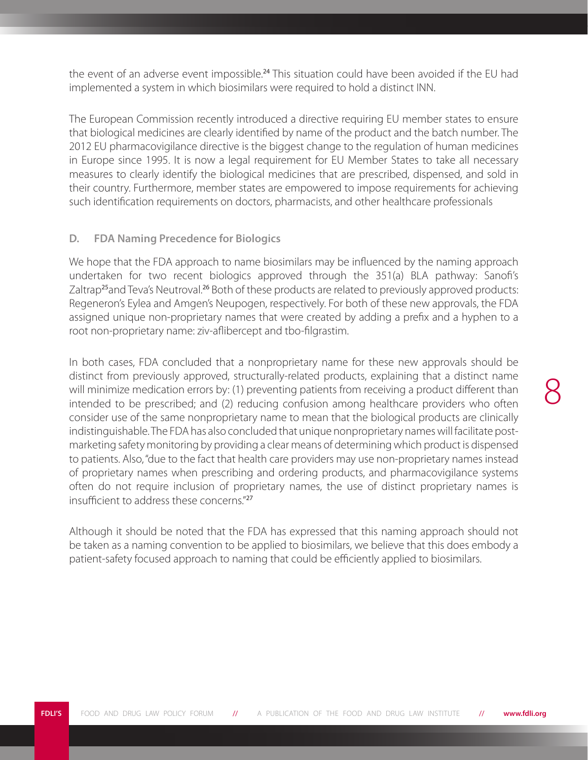the event of an adverse event impossible.<sup>24</sup> This situation could have been avoided if the EU had implemented a system in which biosimilars were required to hold a distinct INN.

The European Commission recently introduced a directive requiring EU member states to ensure that biological medicines are clearly identified by name of the product and the batch number. The 2012 EU pharmacovigilance directive is the biggest change to the regulation of human medicines in Europe since 1995. It is now a legal requirement for EU Member States to take all necessary measures to clearly identify the biological medicines that are prescribed, dispensed, and sold in their country. Furthermore, member states are empowered to impose requirements for achieving such identification requirements on doctors, pharmacists, and other healthcare professionals

## **D. FDA Naming Precedence for Biologics**

We hope that the FDA approach to name biosimilars may be influenced by the naming approach undertaken for two recent biologics approved through the 351(a) BLA pathway: Sanofi's Zaltrap<sup>25</sup>and Teva's Neutroval.<sup>26</sup> Both of these products are related to previously approved products: Regeneron's Eylea and Amgen's Neupogen, respectively. For both of these new approvals, the FDA assigned unique non-proprietary names that were created by adding a prefix and a hyphen to a root non-proprietary name: ziv-aflibercept and tbo-filgrastim.

In both cases, FDA concluded that a nonproprietary name for these new approvals should be distinct from previously approved, structurally-related products, explaining that a distinct name will minimize medication errors by: (1) preventing patients from receiving a product different than intended to be prescribed; and (2) reducing confusion among healthcare providers who often consider use of the same nonproprietary name to mean that the biological products are clinically indistinguishable. The FDA has also concluded that unique nonproprietary names will facilitate postmarketing safety monitoring by providing a clear means of determining which product is dispensed to patients. Also, "due to the fact that health care providers may use non-proprietary names instead of proprietary names when prescribing and ordering products, and pharmacovigilance systems often do not require inclusion of proprietary names, the use of distinct proprietary names is insufficient to address these concerns."<sup>27</sup>

Although it should be noted that the FDA has expressed that this naming approach should not be taken as a naming convention to be applied to biosimilars, we believe that this does embody a patient-safety focused approach to naming that could be efficiently applied to biosimilars.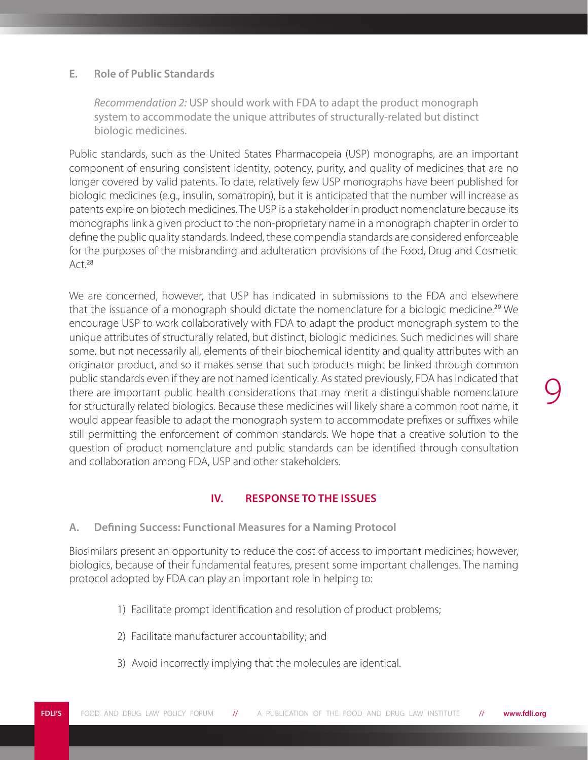### **E. Role of Public Standards**

*Recommendation 2:* USP should work with FDA to adapt the product monograph system to accommodate the unique attributes of structurally-related but distinct biologic medicines.

Public standards, such as the United States Pharmacopeia (USP) monographs, are an important component of ensuring consistent identity, potency, purity, and quality of medicines that are no longer covered by valid patents. To date, relatively few USP monographs have been published for biologic medicines (e.g., insulin, somatropin), but it is anticipated that the number will increase as patents expire on biotech medicines. The USP is a stakeholder in product nomenclature because its monographs link a given product to the non-proprietary name in a monograph chapter in order to define the public quality standards. Indeed, these compendia standards are considered enforceable for the purposes of the misbranding and adulteration provisions of the Food, Drug and Cosmetic Act.<sup>28</sup>

We are concerned, however, that USP has indicated in submissions to the FDA and elsewhere that the issuance of a monograph should dictate the nomenclature for a biologic medicine.<sup>29</sup> We encourage USP to work collaboratively with FDA to adapt the product monograph system to the unique attributes of structurally related, but distinct, biologic medicines. Such medicines will share some, but not necessarily all, elements of their biochemical identity and quality attributes with an originator product, and so it makes sense that such products might be linked through common public standards even if they are not named identically. As stated previously, FDA has indicated that there are important public health considerations that may merit a distinguishable nomenclature for structurally related biologics. Because these medicines will likely share a common root name, it would appear feasible to adapt the monograph system to accommodate prefixes or suffixes while still permitting the enforcement of common standards. We hope that a creative solution to the question of product nomenclature and public standards can be identified through consultation and collaboration among FDA, USP and other stakeholders.

#### **IV. RESPONSE TO THE ISSUES**

**A. Defining Success: Functional Measures for a Naming Protocol**

Biosimilars present an opportunity to reduce the cost of access to important medicines; however, biologics, because of their fundamental features, present some important challenges. The naming protocol adopted by FDA can play an important role in helping to:

- 1) Facilitate prompt identification and resolution of product problems;
- 2) Facilitate manufacturer accountability; and
- 3) Avoid incorrectly implying that the molecules are identical.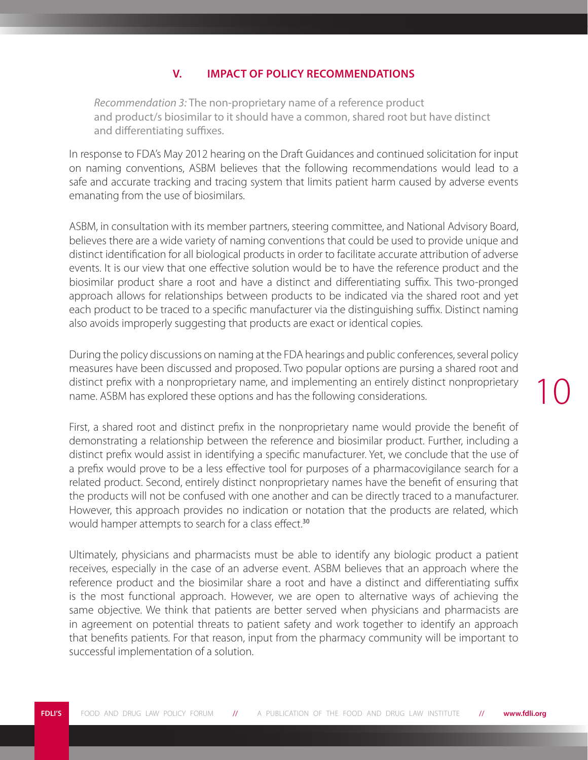#### **V. IMPACT OF POLICY RECOMMENDATIONS**

*Recommendation 3:* The non-proprietary name of a reference product and product/s biosimilar to it should have a common, shared root but have distinct and differentiating suffixes.

In response to FDA's May 2012 hearing on the Draft Guidances and continued solicitation for input on naming conventions, ASBM believes that the following recommendations would lead to a safe and accurate tracking and tracing system that limits patient harm caused by adverse events emanating from the use of biosimilars.

ASBM, in consultation with its member partners, steering committee, and National Advisory Board, believes there are a wide variety of naming conventions that could be used to provide unique and distinct identification for all biological products in order to facilitate accurate attribution of adverse events. It is our view that one effective solution would be to have the reference product and the biosimilar product share a root and have a distinct and differentiating suffix. This two-pronged approach allows for relationships between products to be indicated via the shared root and yet each product to be traced to a specific manufacturer via the distinguishing suffix. Distinct naming also avoids improperly suggesting that products are exact or identical copies.

During the policy discussions on naming at the FDA hearings and public conferences, several policy measures have been discussed and proposed. Two popular options are pursing a shared root and distinct prefix with a nonproprietary name, and implementing an entirely distinct nonproprietary name. ASBM has explored these options and has the following considerations.

First, a shared root and distinct prefix in the nonproprietary name would provide the benefit of demonstrating a relationship between the reference and biosimilar product. Further, including a distinct prefix would assist in identifying a specific manufacturer. Yet, we conclude that the use of a prefix would prove to be a less effective tool for purposes of a pharmacovigilance search for a related product. Second, entirely distinct nonproprietary names have the benefit of ensuring that the products will not be confused with one another and can be directly traced to a manufacturer. However, this approach provides no indication or notation that the products are related, which would hamper attempts to search for a class effect.<sup>30</sup>

Ultimately, physicians and pharmacists must be able to identify any biologic product a patient receives, especially in the case of an adverse event. ASBM believes that an approach where the reference product and the biosimilar share a root and have a distinct and differentiating suffix is the most functional approach. However, we are open to alternative ways of achieving the same objective. We think that patients are better served when physicians and pharmacists are in agreement on potential threats to patient safety and work together to identify an approach that benefits patients. For that reason, input from the pharmacy community will be important to successful implementation of a solution.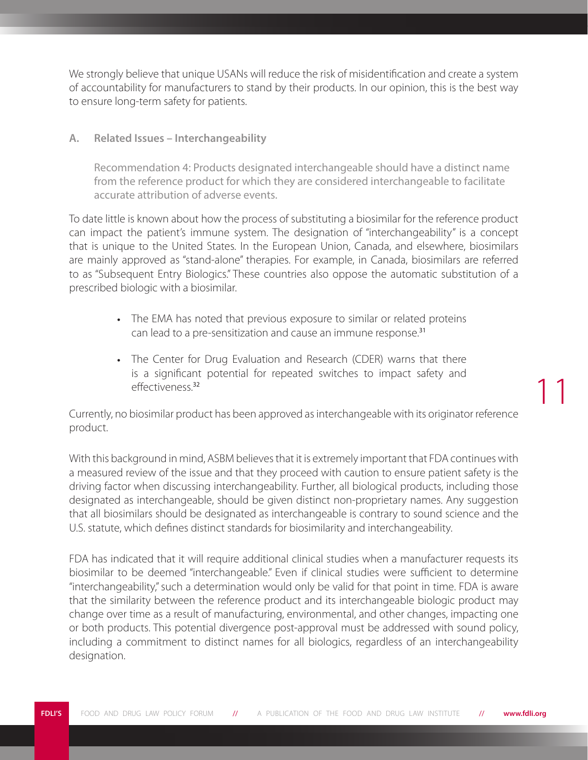We strongly believe that unique USANs will reduce the risk of misidentification and create a system of accountability for manufacturers to stand by their products. In our opinion, this is the best way to ensure long-term safety for patients.

## **A. Related Issues – Interchangeability**

Recommendation 4: Products designated interchangeable should have a distinct name from the reference product for which they are considered interchangeable to facilitate accurate attribution of adverse events.

To date little is known about how the process of substituting a biosimilar for the reference product can impact the patient's immune system. The designation of "interchangeability" is a concept that is unique to the United States. In the European Union, Canada, and elsewhere, biosimilars are mainly approved as "stand-alone" therapies. For example, in Canada, biosimilars are referred to as "Subsequent Entry Biologics." These countries also oppose the automatic substitution of a prescribed biologic with a biosimilar.

- The EMA has noted that previous exposure to similar or related proteins can lead to a pre-sensitization and cause an immune response.<sup>31</sup>
- The Center for Drug Evaluation and Research (CDER) warns that there is a significant potential for repeated switches to impact safety and effectiveness.<sup>32</sup>

Currently, no biosimilar product has been approved as interchangeable with its originator reference product.

11

With this background in mind, ASBM believes that it is extremely important that FDA continues with a measured review of the issue and that they proceed with caution to ensure patient safety is the driving factor when discussing interchangeability. Further, all biological products, including those designated as interchangeable, should be given distinct non-proprietary names. Any suggestion that all biosimilars should be designated as interchangeable is contrary to sound science and the U.S. statute, which defines distinct standards for biosimilarity and interchangeability.

FDA has indicated that it will require additional clinical studies when a manufacturer requests its biosimilar to be deemed "interchangeable." Even if clinical studies were sufficient to determine "interchangeability," such a determination would only be valid for that point in time. FDA is aware that the similarity between the reference product and its interchangeable biologic product may change over time as a result of manufacturing, environmental, and other changes, impacting one or both products. This potential divergence post-approval must be addressed with sound policy, including a commitment to distinct names for all biologics, regardless of an interchangeability designation.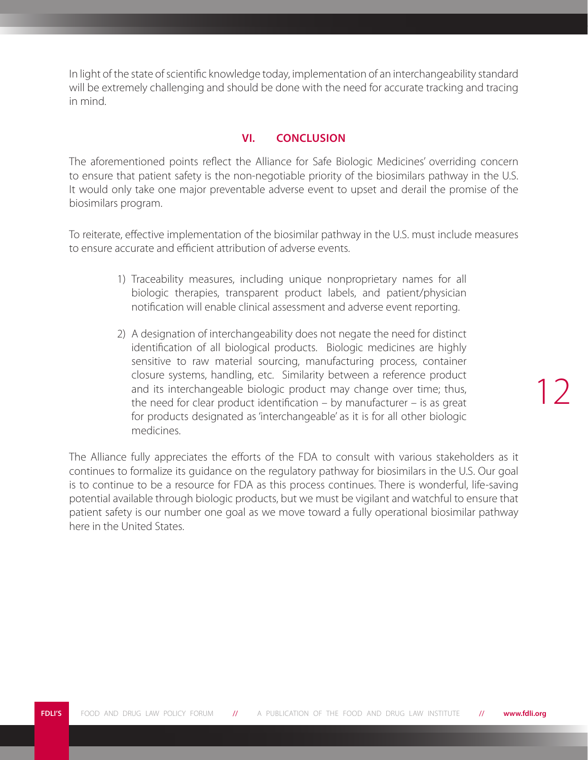In light of the state of scientific knowledge today, implementation of an interchangeability standard will be extremely challenging and should be done with the need for accurate tracking and tracing in mind.

# **VI. CONCLUSION**

The aforementioned points reflect the Alliance for Safe Biologic Medicines' overriding concern to ensure that patient safety is the non-negotiable priority of the biosimilars pathway in the U.S. It would only take one major preventable adverse event to upset and derail the promise of the biosimilars program.

To reiterate, effective implementation of the biosimilar pathway in the U.S. must include measures to ensure accurate and efficient attribution of adverse events.

- 1) Traceability measures, including unique nonproprietary names for all biologic therapies, transparent product labels, and patient/physician notification will enable clinical assessment and adverse event reporting.
- 2) A designation of interchangeability does not negate the need for distinct identification of all biological products. Biologic medicines are highly sensitive to raw material sourcing, manufacturing process, container closure systems, handling, etc. Similarity between a reference product and its interchangeable biologic product may change over time; thus, the need for clear product identification – by manufacturer – is as great for products designated as 'interchangeable' as it is for all other biologic medicines.

The Alliance fully appreciates the efforts of the FDA to consult with various stakeholders as it continues to formalize its guidance on the regulatory pathway for biosimilars in the U.S. Our goal is to continue to be a resource for FDA as this process continues. There is wonderful, life-saving potential available through biologic products, but we must be vigilant and watchful to ensure that patient safety is our number one goal as we move toward a fully operational biosimilar pathway here in the United States.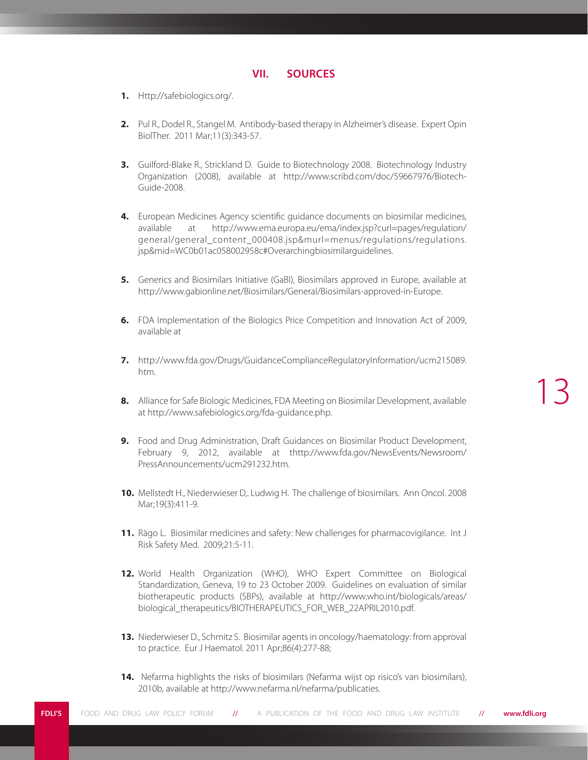#### **VII. SOURCES**

- **1.** Http://safebiologics.org/.
- **2.** Pul R., Dodel R., Stangel M. Antibody-based therapy in Alzheimer's disease. Expert Opin BiolTher. 2011 Mar;11(3):343-57.
- **3.** Guilford-Blake R., Strickland D. Guide to Biotechnology 2008. Biotechnology Industry Organization (2008), available at http://www.scribd.com/doc/59667976/Biotech-Guide-2008.
- **4.** European Medicines Agency scientific guidance documents on biosimilar medicines, available at http://www.ema.europa.eu/ema/index.jsp?curl=pages/regulation/ general/general\_content\_000408.jsp&murl=menus/regulations/regulations. jsp&mid=WC0b01ac058002958c#Overarchingbiosimilarguidelines.
- **5.** Generics and Biosimilars Initiative (GaBI), Biosimilars approved in Europe, available at http://www.gabionline.net/Biosimilars/General/Biosimilars-approved-in-Europe.
- **6.** FDA Implementation of the Biologics Price Competition and Innovation Act of 2009, available at
- **7.** http://www.fda.gov/Drugs/GuidanceComplianceRegulatoryInformation/ucm215089. htm.
- **8.** Alliance for Safe Biologic Medicines, FDA Meeting on Biosimilar Development, available at http://www.safebiologics.org/fda-guidance.php.
- **9.** Food and Drug Administration, Draft Guidances on Biosimilar Product Development, February 9, 2012, available at thttp://www.fda.gov/NewsEvents/Newsroom/ PressAnnouncements/ucm291232.htm.
- **10.** Mellstedt H., Niederwieser D,. Ludwig H. The challenge of biosimilars. Ann Oncol. 2008 Mar;19(3):411-9.
- 11. Rägo L. Biosimilar medicines and safety: New challenges for pharmacovigilance. Int J Risk Safety Med. 2009;21:5-11.
- **12.** World Health Organization (WHO), WHO Expert Committee on Biological Standardization, Geneva, 19 to 23 October 2009. Guidelines on evaluation of similar biotherapeutic products (SBPs), available at http://www.who.int/biologicals/areas/ biological\_therapeutics/BIOTHERAPEUTICS\_FOR\_WEB\_22APRIL2010.pdf.
- **13.** Niederwieser D., Schmitz S. Biosimilar agents in oncology/haematology: from approval to practice. Eur J Haematol. 2011 Apr;86(4):277-88;
- **14.** Nefarma highlights the risks of biosimilars (Nefarma wijst op risico's van biosimilars), 2010b, available at http://www.nefarma.nl/nefarma/publicaties.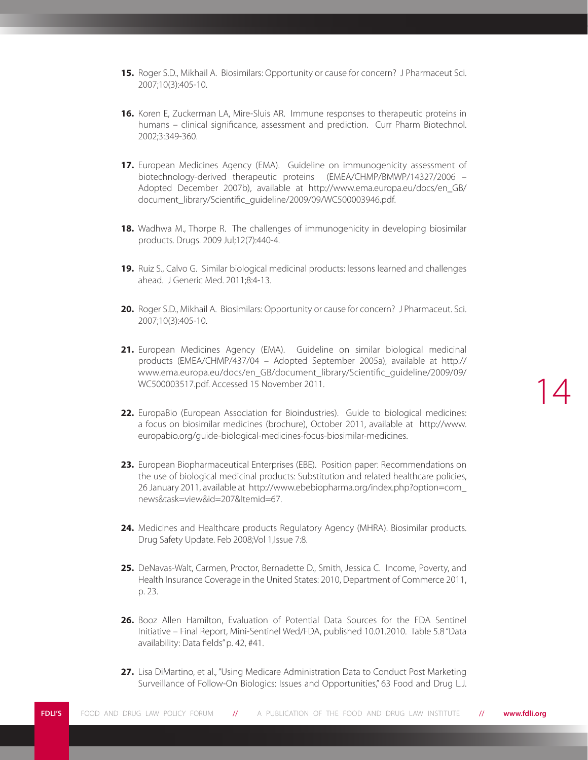- **15.** Roger S.D., Mikhail A. Biosimilars: Opportunity or cause for concern? J Pharmaceut Sci. 2007;10(3):405-10.
- **16.** Koren E, Zuckerman LA, Mire-Sluis AR. Immune responses to therapeutic proteins in humans – clinical significance, assessment and prediction. Curr Pharm Biotechnol. 2002;3:349-360.
- **17.** European Medicines Agency (EMA). Guideline on immunogenicity assessment of biotechnology-derived therapeutic proteins (EMEA/CHMP/BMWP/14327/2006 – Adopted December 2007b), available at http://www.ema.europa.eu/docs/en\_GB/ document\_library/Scientific\_guideline/2009/09/WC500003946.pdf.
- **18.** Wadhwa M., Thorpe R. The challenges of immunogenicity in developing biosimilar products. Drugs. 2009 Jul;12(7):440-4.
- **19.** Ruiz S., Calvo G. Similar biological medicinal products: lessons learned and challenges ahead. J Generic Med. 2011;8:4-13.
- **20.** Roger S.D., Mikhail A. Biosimilars: Opportunity or cause for concern? J Pharmaceut. Sci. 2007;10(3):405-10.
- **21.** European Medicines Agency (EMA). Guideline on similar biological medicinal products (EMEA/CHMP/437/04 – Adopted September 2005a), available at http:// www.ema.europa.eu/docs/en\_GB/document\_library/Scientific\_guideline/2009/09/ WC500003517.pdf. Accessed 15 November 2011.
- **22.** EuropaBio (European Association for Bioindustries). Guide to biological medicines: a focus on biosimilar medicines (brochure), October 2011, available at http://www. europabio.org/guide-biological-medicines-focus-biosimilar-medicines.
- **23.** European Biopharmaceutical Enterprises (EBE). Position paper: Recommendations on the use of biological medicinal products: Substitution and related healthcare policies, 26 January 2011, available at http://www.ebebiopharma.org/index.php?option=com\_ news&task=view&id=207&Itemid=67.
- **24.** Medicines and Healthcare products Regulatory Agency (MHRA). Biosimilar products. Drug Safety Update. Feb 2008;Vol 1,Issue 7:8.
- **25.** DeNavas-Walt, Carmen, Proctor, Bernadette D., Smith, Jessica C. Income, Poverty, and Health Insurance Coverage in the United States: 2010, Department of Commerce 2011, p. 23.
- **26.** Booz Allen Hamilton, Evaluation of Potential Data Sources for the FDA Sentinel Initiative – Final Report, Mini-Sentinel Wed/FDA, published 10.01.2010. Table 5.8 "Data availability: Data fields" p. 42, #41.
- **27.** Lisa DiMartino, et al., "Using Medicare Administration Data to Conduct Post Marketing Surveillance of Follow-On Biologics: Issues and Opportunities," 63 Food and Drug L.J.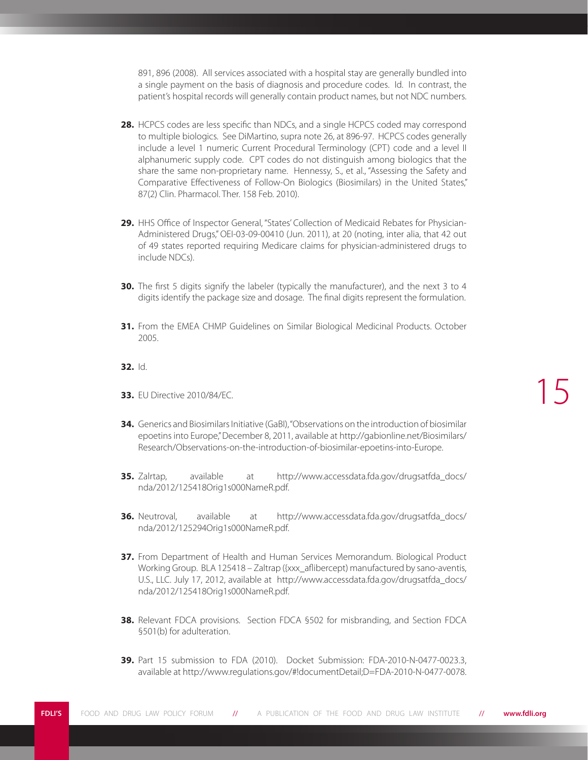891, 896 (2008). All services associated with a hospital stay are generally bundled into a single payment on the basis of diagnosis and procedure codes. Id. In contrast, the patient's hospital records will generally contain product names, but not NDC numbers.

- **28.** HCPCS codes are less specific than NDCs, and a single HCPCS coded may correspond to multiple biologics. See DiMartino, supra note 26, at 896-97. HCPCS codes generally include a level 1 numeric Current Procedural Terminology (CPT) code and a level II alphanumeric supply code. CPT codes do not distinguish among biologics that the share the same non-proprietary name. Hennessy, S., et al., "Assessing the Safety and Comparative Effectiveness of Follow-On Biologics (Biosimilars) in the United States," 87(2) Clin. Pharmacol. Ther. 158 Feb. 2010).
- **29.** HHS Office of Inspector General, "States' Collection of Medicaid Rebates for Physician-Administered Drugs," OEI-03-09-00410 (Jun. 2011), at 20 (noting, inter alia, that 42 out of 49 states reported requiring Medicare claims for physician-administered drugs to include NDCs).
- **30.** The first 5 digits signify the labeler (typically the manufacturer), and the next 3 to 4 digits identify the package size and dosage. The final digits represent the formulation.
- **31.** From the EMEA CHMP Guidelines on Similar Biological Medicinal Products. October 2005.
- **32.** Id.
- **33.** EU Directive 2010/84/EC.
- **34.** Generics and Biosimilars Initiative (GaBI), "Observations on the introduction of biosimilar epoetins into Europe," December 8, 2011, available at http://gabionline.net/Biosimilars/ Research/Observations-on-the-introduction-of-biosimilar-epoetins-into-Europe.
- **35.** Zalrtap, available at http://www.accessdata.fda.gov/drugsatfda\_docs/ nda/2012/125418Orig1s000NameR.pdf.
- **36.** Neutroval, available at http://www.accessdata.fda.gov/drugsatfda\_docs/ nda/2012/125294Orig1s000NameR.pdf.
- **37.** From Department of Health and Human Services Memorandum. Biological Product Working Group. BLA 125418 – Zaltrap ({xxx\_aflibercept) manufactured by sano-aventis, U.S., LLC. July 17, 2012, available at http://www.accessdata.fda.gov/drugsatfda\_docs/ nda/2012/125418Orig1s000NameR.pdf.
- **38.** Relevant FDCA provisions. Section FDCA §502 for misbranding, and Section FDCA §501(b) for adulteration.
- **39.** Part 15 submission to FDA (2010). Docket Submission: FDA-2010-N-0477-0023.3, available at http://www.regulations.gov/#!documentDetail;D=FDA-2010-N-0477-0078.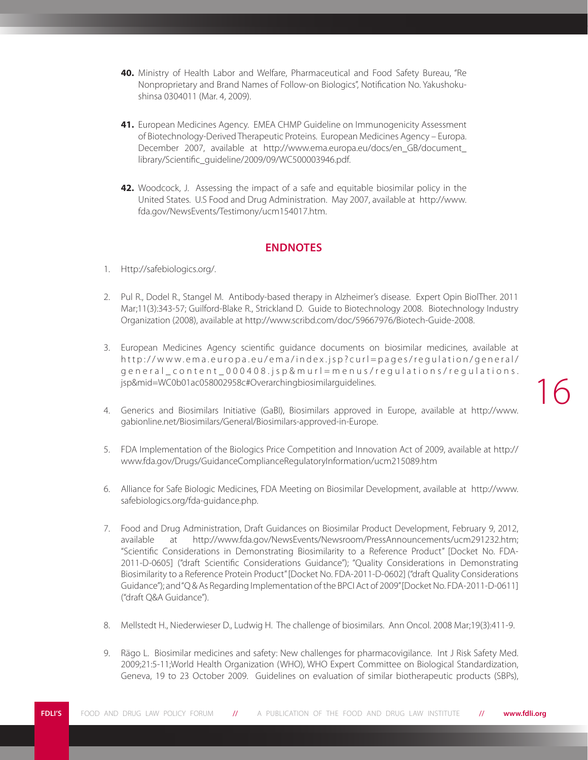- **40.** Ministry of Health Labor and Welfare, Pharmaceutical and Food Safety Bureau, "Re Nonproprietary and Brand Names of Follow-on Biologics", Notification No. Yakushokushinsa 0304011 (Mar. 4, 2009).
- **41.** European Medicines Agency. EMEA CHMP Guideline on Immunogenicity Assessment of Biotechnology-Derived Therapeutic Proteins. European Medicines Agency – Europa. December 2007, available at http://www.ema.europa.eu/docs/en\_GB/document\_ library/Scientific\_guideline/2009/09/WC500003946.pdf.
- **42.** Woodcock, J. Assessing the impact of a safe and equitable biosimilar policy in the United States. U.S Food and Drug Administration. May 2007, available at http://www. fda.gov/NewsEvents/Testimony/ucm154017.htm.

#### **ENDNOTES**

- 1. Http://safebiologics.org/.
- 2. Pul R., Dodel R., Stangel M. Antibody-based therapy in Alzheimer's disease. Expert Opin BiolTher. 2011 Mar;11(3):343-57; Guilford-Blake R., Strickland D. Guide to Biotechnology 2008. Biotechnology Industry Organization (2008), available at http://www.scribd.com/doc/59667976/Biotech-Guide-2008.
- 3. European Medicines Agency scientific guidance documents on biosimilar medicines, available at http://www.ema.europa.eu/ema/index.jsp?curl=pages/regulation/general/ general\_content\_000408.jsp&murl=menus/regulations/regulations. jsp&mid=WC0b01ac058002958c#Overarchingbiosimilarguidelines.

- 4. Generics and Biosimilars Initiative (GaBI), Biosimilars approved in Europe, available at http://www. gabionline.net/Biosimilars/General/Biosimilars-approved-in-Europe.
- 5. FDA Implementation of the Biologics Price Competition and Innovation Act of 2009, available at http:// www.fda.gov/Drugs/GuidanceComplianceRegulatoryInformation/ucm215089.htm
- 6. Alliance for Safe Biologic Medicines, FDA Meeting on Biosimilar Development, available at http://www. safebiologics.org/fda-guidance.php.
- 7. Food and Drug Administration, Draft Guidances on Biosimilar Product Development, February 9, 2012, available at http://www.fda.gov/NewsEvents/Newsroom/PressAnnouncements/ucm291232.htm; "Scientific Considerations in Demonstrating Biosimilarity to a Reference Product" [Docket No. FDA-2011-D-0605] ("draft Scientific Considerations Guidance"); "Quality Considerations in Demonstrating Biosimilarity to a Reference Protein Product" [Docket No. FDA-2011-D-0602] ("draft Quality Considerations Guidance"); and "Q & As Regarding Implementation of the BPCI Act of 2009" [Docket No. FDA-2011-D-0611] ("draft Q&A Guidance").
- 8. Mellstedt H., Niederwieser D., Ludwig H. The challenge of biosimilars. Ann Oncol. 2008 Mar;19(3):411-9.
- 9. Rägo L. Biosimilar medicines and safety: New challenges for pharmacovigilance. Int J Risk Safety Med. 2009;21:5-11;World Health Organization (WHO), WHO Expert Committee on Biological Standardization, Geneva, 19 to 23 October 2009. Guidelines on evaluation of similar biotherapeutic products (SBPs),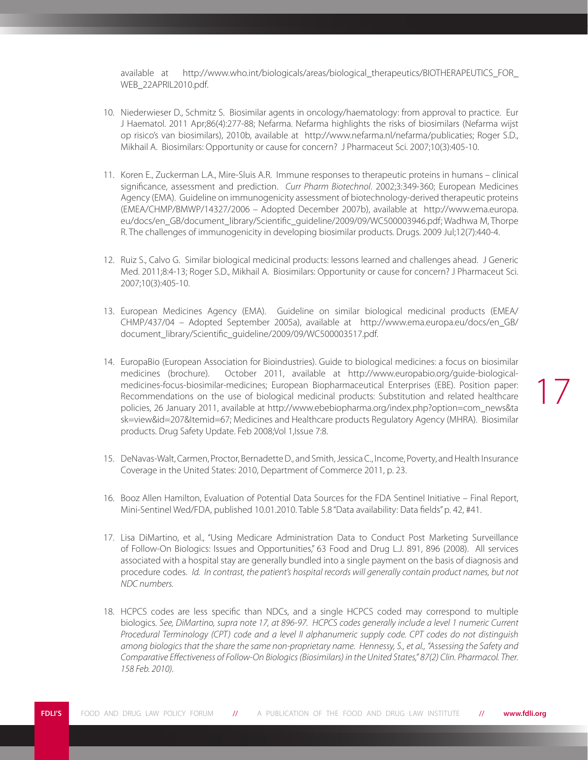available at http://www.who.int/biologicals/areas/biological therapeutics/BIOTHERAPEUTICS FOR WEB\_22APRIL2010.pdf.

- 10. Niederwieser D., Schmitz S. Biosimilar agents in oncology/haematology: from approval to practice. Eur J Haematol. 2011 Apr;86(4):277-88; Nefarma. Nefarma highlights the risks of biosimilars (Nefarma wijst op risico's van biosimilars), 2010b, available at http://www.nefarma.nl/nefarma/publicaties; Roger S.D., Mikhail A. Biosimilars: Opportunity or cause for concern? J Pharmaceut Sci. 2007;10(3):405-10.
- 11. Koren E., Zuckerman L.A., Mire-Sluis A.R. Immune responses to therapeutic proteins in humans clinical significance, assessment and prediction. *Curr Pharm Biotechnol*. 2002;3:349-360; European Medicines Agency (EMA). Guideline on immunogenicity assessment of biotechnology-derived therapeutic proteins (EMEA/CHMP/BMWP/14327/2006 – Adopted December 2007b), available at http://www.ema.europa. eu/docs/en\_GB/document\_library/Scientific\_guideline/2009/09/WC500003946.pdf; Wadhwa M, Thorpe R. The challenges of immunogenicity in developing biosimilar products. Drugs. 2009 Jul;12(7):440-4.
- 12. Ruiz S., Calvo G. Similar biological medicinal products: lessons learned and challenges ahead. J Generic Med. 2011;8:4-13; Roger S.D., Mikhail A. Biosimilars: Opportunity or cause for concern? J Pharmaceut Sci. 2007;10(3):405-10.
- 13. European Medicines Agency (EMA). Guideline on similar biological medicinal products (EMEA/ CHMP/437/04 – Adopted September 2005a), available at http://www.ema.europa.eu/docs/en\_GB/ document\_library/Scientific\_guideline/2009/09/WC500003517.pdf.
- 14. EuropaBio (European Association for Bioindustries). Guide to biological medicines: a focus on biosimilar medicines (brochure). October 2011, available at http://www.europabio.org/guide-biologicalmedicines-focus-biosimilar-medicines; European Biopharmaceutical Enterprises (EBE). Position paper: Recommendations on the use of biological medicinal products: Substitution and related healthcare policies, 26 January 2011, available at http://www.ebebiopharma.org/index.php?option=com\_news&ta sk=view&id=207&Itemid=67; Medicines and Healthcare products Regulatory Agency (MHRA). Biosimilar products. Drug Safety Update. Feb 2008;Vol 1,Issue 7:8.

- 15. DeNavas-Walt, Carmen, Proctor, Bernadette D., and Smith, Jessica C., Income, Poverty, and Health Insurance Coverage in the United States: 2010, Department of Commerce 2011, p. 23.
- 16. Booz Allen Hamilton, Evaluation of Potential Data Sources for the FDA Sentinel Initiative Final Report, Mini-Sentinel Wed/FDA, published 10.01.2010. Table 5.8 "Data availability: Data fields" p. 42, #41.
- 17. Lisa DiMartino, et al., "Using Medicare Administration Data to Conduct Post Marketing Surveillance of Follow-On Biologics: Issues and Opportunities," 63 Food and Drug L.J. 891, 896 (2008). All services associated with a hospital stay are generally bundled into a single payment on the basis of diagnosis and procedure codes. *Id. In contrast, the patient's hospital records will generally contain product names, but not NDC numbers.*
- 18. HCPCS codes are less specific than NDCs, and a single HCPCS coded may correspond to multiple biologics. *See, DiMartino, supra note 17, at 896-97. HCPCS codes generally include a level 1 numeric Current Procedural Terminology (CPT) code and a level II alphanumeric supply code. CPT codes do not distinguish among biologics that the share the same non-proprietary name. Hennessy, S., et al., "Assessing the Safety and Comparative Effectiveness of Follow-On Biologics (Biosimilars) in the United States," 87(2) Clin. Pharmacol. Ther. 158 Feb. 2010).*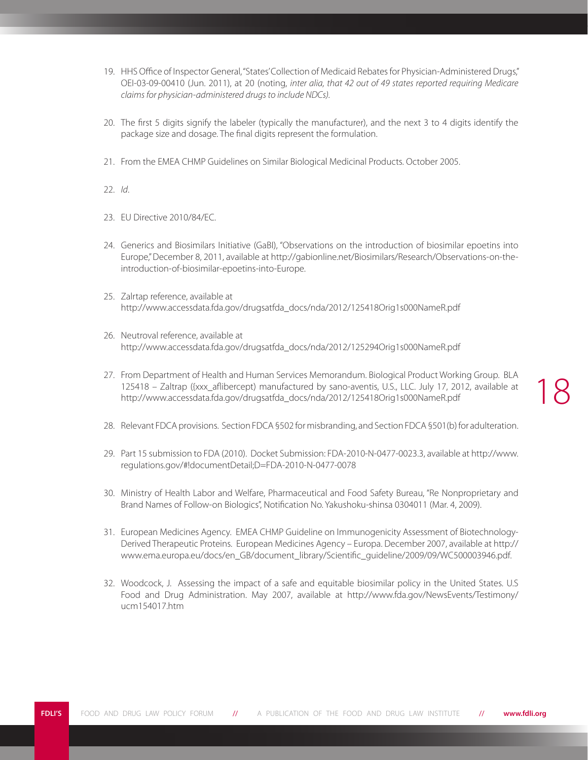- 19. HHS Office of Inspector General, "States' Collection of Medicaid Rebates for Physician-Administered Drugs," OEI-03-09-00410 (Jun. 2011), at 20 (noting, *inter alia, that 42 out of 49 states reported requiring Medicare claims for physician-administered drugs to include NDCs).*
- 20. The first 5 digits signify the labeler (typically the manufacturer), and the next 3 to 4 digits identify the package size and dosage. The final digits represent the formulation.
- 21. From the EMEA CHMP Guidelines on Similar Biological Medicinal Products. October 2005.
- 22. *Id*.
- 23. EU Directive 2010/84/EC.
- 24. Generics and Biosimilars Initiative (GaBI), "Observations on the introduction of biosimilar epoetins into Europe," December 8, 2011, available at http://gabionline.net/Biosimilars/Research/Observations-on-theintroduction-of-biosimilar-epoetins-into-Europe.
- 25. Zalrtap reference, available at http://www.accessdata.fda.gov/drugsatfda\_docs/nda/2012/125418Orig1s000NameR.pdf
- 26. Neutroval reference, available at http://www.accessdata.fda.gov/drugsatfda\_docs/nda/2012/125294Orig1s000NameR.pdf
- 27. From Department of Health and Human Services Memorandum. Biological Product Working Group. BLA 125418 – Zaltrap ({xxx\_aflibercept) manufactured by sano-aventis, U.S., LLC. July 17, 2012, available at http://www.accessdata.fda.gov/drugsatfda\_docs/nda/2012/125418Orig1s000NameR.pdf

- 28. Relevant FDCA provisions. Section FDCA §502 for misbranding, and Section FDCA §501(b) for adulteration.
- 29. Part 15 submission to FDA (2010). Docket Submission: FDA-2010-N-0477-0023.3, available at http://www. regulations.gov/#!documentDetail;D=FDA-2010-N-0477-0078
- 30. Ministry of Health Labor and Welfare, Pharmaceutical and Food Safety Bureau, "Re Nonproprietary and Brand Names of Follow-on Biologics", Notification No. Yakushoku-shinsa 0304011 (Mar. 4, 2009).
- 31. European Medicines Agency. EMEA CHMP Guideline on Immunogenicity Assessment of Biotechnology-Derived Therapeutic Proteins. European Medicines Agency – Europa. December 2007, available at http:// www.ema.europa.eu/docs/en\_GB/document\_library/Scientific\_guideline/2009/09/WC500003946.pdf.
- 32. Woodcock, J. Assessing the impact of a safe and equitable biosimilar policy in the United States. U.S Food and Drug Administration. May 2007, available at http://www.fda.gov/NewsEvents/Testimony/ ucm154017.htm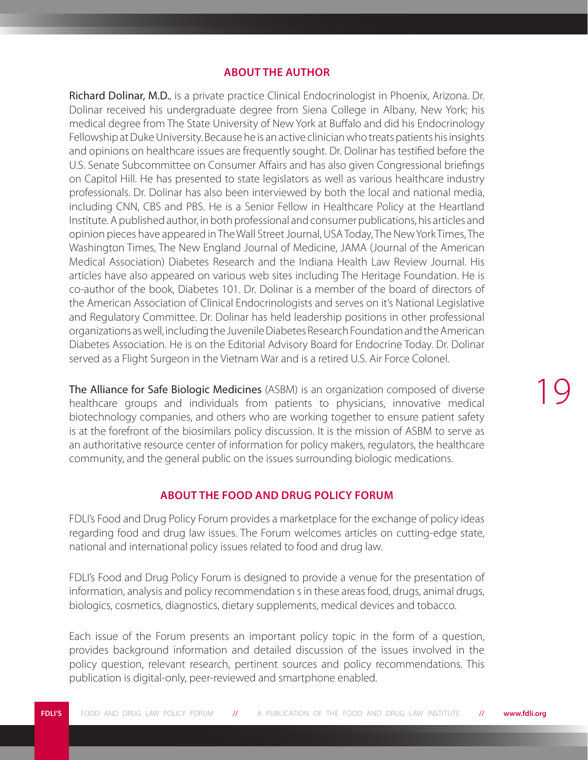#### **ABOUT THE AUTHOR**

Richard Dolinar, M.D., is a private practice Clinical Endocrinologist in Phoenix, Arizona. Dr. Dolinar received his undergraduate degree from Siena College in Albany, New York; his medical degree from The State University of New York at Buffalo and did his Endocrinology Fellowship at Duke University. Because he is an active clinician who treats patients his insights and opinions on healthcare issues are frequently sought. Dr. Dolinar has testified before the U.S. Senate Subcommittee on Consumer Affairs and has also given Congressional briefings on Capitol Hill. He has presented to state legislators as well as various healthcare industry professionals. Dr. Dolinar has also been interviewed by both the local and national media, including CNN, CBS and PBS. He is a Senior Fellow in Healthcare Policy at the Heartland Institute. A published author, in both professional and consumer publications, his articles and opinion pieces have appeared in The Wall Street Journal, USA Today, The New York Times, The Washington Times, The New England Journal of Medicine, JAMA (Journal of the American Medical Association) Diabetes Research and the Indiana Health Law Review Journal. His articles have also appeared on various web sites including The Heritage Foundation. He is co-author of the book, Diabetes 101. Dr. Dolinar is a member of the board of directors of the American Association of Clinical Endocrinologists and serves on it's National Legislative and Regulatory Committee. Dr. Dolinar has held leadership positions in other professional organizations as well, including the Juvenile Diabetes Research Foundation and the American Diabetes Association. He is on the Editorial Advisory Board for Endocrine Today. Dr. Dolinar served as a Flight Surgeon in the Vietnam War and is a retired U.S. Air Force Colonel.

The Alliance for Safe Biologic Medicines (ASBM) is an organization composed of diverse healthcare groups and individuals from patients to physicians, innovative medical biotechnology companies, and others who are working together to ensure patient safety is at the forefront of the biosimilars policy discussion. It is the mission of ASBM to serve as an authoritative resource center of information for policy makers, regulators, the healthcare community, and the general public on the issues surrounding biologic medications.

#### **ABOUT THE FOOD AND DRUG POLICY FORUM**

FDLI's Food and Drug Policy Forum provides a marketplace for the exchange of policy ideas regarding food and drug law issues. The Forum welcomes articles on cutting-edge state, national and international policy issues related to food and drug law.

FDLI's Food and Drug Policy Forum is designed to provide a venue for the presentation of information, analysis and policy recommendation s in these areas food, drugs, animal drugs, biologics, cosmetics, diagnostics, dietary supplements, medical devices and tobacco.

Each issue of the Forum presents an important policy topic in the form of a question, provides background information and detailed discussion of the issues involved in the policy question, relevant research, pertinent sources and policy recommendations. This publication is digital-only, peer-reviewed and smartphone enabled.